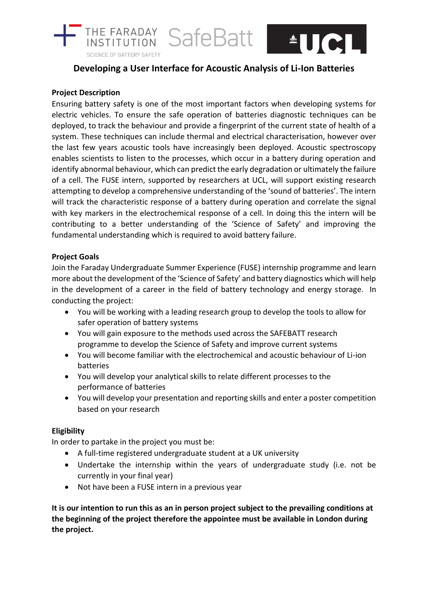

# **Developing a User Interface for Acoustic Analysis of Li-Ion Batteries**

## **Project Description**

Ensuring battery safety is one of the most important factors when developing systems for electric vehicles. To ensure the safe operation of batteries diagnostic techniques can be deployed, to track the behaviour and provide a fingerprint of the current state of health of a system. These techniques can include thermal and electrical characterisation, however over the last few years acoustic tools have increasingly been deployed. Acoustic spectroscopy enables scientists to listen to the processes, which occur in a battery during operation and identify abnormal behaviour, which can predict the early degradation or ultimately the failure of a cell. The FUSE intern, supported by researchers at UCL, will support existing research attempting to develop a comprehensive understanding of the 'sound of batteries'. The intern will track the characteristic response of a battery during operation and correlate the signal with key markers in the electrochemical response of a cell. In doing this the intern will be contributing to a better understanding of the 'Science of Safety' and improving the fundamental understanding which is required to avoid battery failure.

## **Project Goals**

Join the Faraday Undergraduate Summer Experience (FUSE) internship programme and learn more about the development of the 'Science of Safety' and battery diagnostics which will help in the development of a career in the field of battery technology and energy storage. In conducting the project:

- You will be working with a leading research group to develop the tools to allow for safer operation of battery systems
- You will gain exposure to the methods used across the SAFEBATT research programme to develop the Science of Safety and improve current systems
- You will become familiar with the electrochemical and acoustic behaviour of Li-ion batteries
- You will develop your analytical skills to relate different processes to the performance of batteries
- You will develop your presentation and reporting skills and enter a poster competition based on your research

## **Eligibility**

In order to partake in the project you must be:

- A full-time registered undergraduate student at a UK university
- Undertake the internship within the years of undergraduate study (i.e. not be currently in your final year)
- Not have been a FUSE intern in a previous year

**It is our intention to run this as an in person project subject to the prevailing conditions at the beginning of the project therefore the appointee must be available in London during the project.**